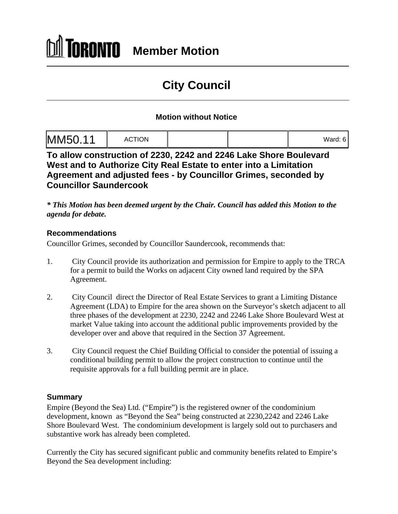# **DRONTO Member Motion**

# **City Council**

## **Motion without Notice**

| M<br>aru. J |  |
|-------------|--|
|-------------|--|

**To allow construction of 2230, 2242 and 2246 Lake Shore Boulevard West and to Authorize City Real Estate to enter into a Limitation Agreement and adjusted fees - by Councillor Grimes, seconded by Councillor Saundercook**

*\* This Motion has been deemed urgent by the Chair. Council has added this Motion to the agenda for debate.* 

### **Recommendations**

Councillor Grimes, seconded by Councillor Saundercook, recommends that:

- 1. City Council provide its authorization and permission for Empire to apply to the TRCA for a permit to build the Works on adjacent City owned land required by the SPA Agreement.
- 2. City Council direct the Director of Real Estate Services to grant a Limiting Distance Agreement (LDA) to Empire for the area shown on the Surveyor's sketch adjacent to all three phases of the development at 2230, 2242 and 2246 Lake Shore Boulevard West at market Value taking into account the additional public improvements provided by the developer over and above that required in the Section 37 Agreement.
- 3. City Council request the Chief Building Official to consider the potential of issuing a conditional building permit to allow the project construction to continue until the requisite approvals for a full building permit are in place.

#### **Summary**

Empire (Beyond the Sea) Ltd. ("Empire") is the registered owner of the condominium development, known as "Beyond the Sea" being constructed at 2230,2242 and 2246 Lake Shore Boulevard West. The condominium development is largely sold out to purchasers and substantive work has already been completed.

Currently the City has secured significant public and community benefits related to Empire's Beyond the Sea development including: